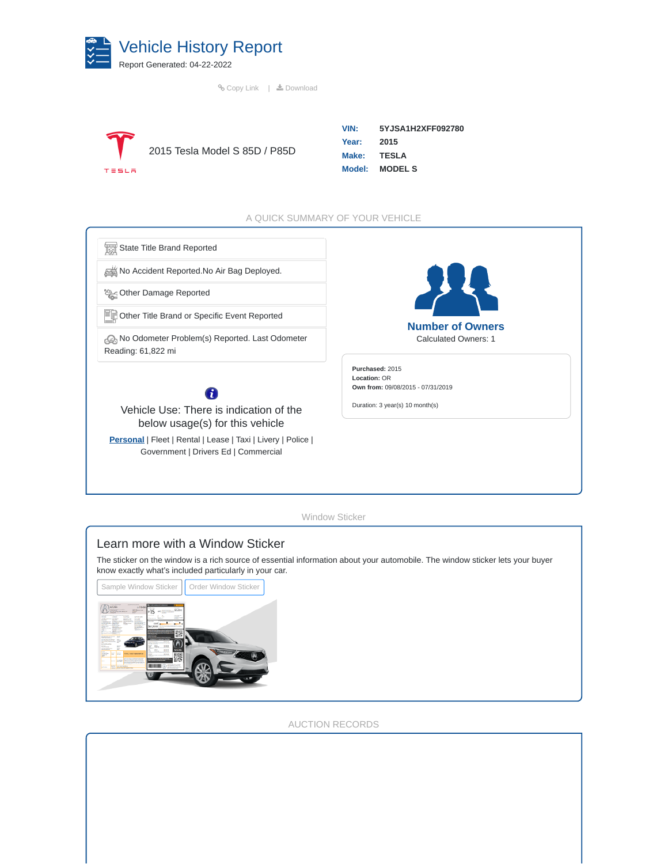

Copy Link |  [Download](https://app.instantvinreports.com/report/download/5YJSA1H2XFF092780)



| VIN:        | 5YJSA1H2XFF092780 |  |  |
|-------------|-------------------|--|--|
| Year:       | 2015              |  |  |
| Make: TESLA |                   |  |  |
|             | Model: MODEL S    |  |  |

#### A QUICK SUMMARY OF YOUR VEHICLE

State Title Brand Reported

No Accident Reported.No Air Bag Deployed.

Other Damage Reported

**ED** Other Title Brand or Specific Event Reported

 No Odometer Problem(s) Reported. Last Odometer Reading: 61,822 mi



Vehicle Use: There is indication of the below usage(s) for this vehicle

**Personal** | Fleet | Rental | Lease | Taxi | Livery | Police | Government | Drivers Ed | Commercial



**Purchased:** 2015 **Location:** OR **Own from:** 09/08/2015 - 07/31/2019

Duration: 3 year(s) 10 month(s)

Window Sticker

# Learn more with a Window Sticker

The sticker on the window is a rich source of essential information about your automobile. The window sticker lets your buyer know exactly what's included particularly in your car.



AUCTION RECORDS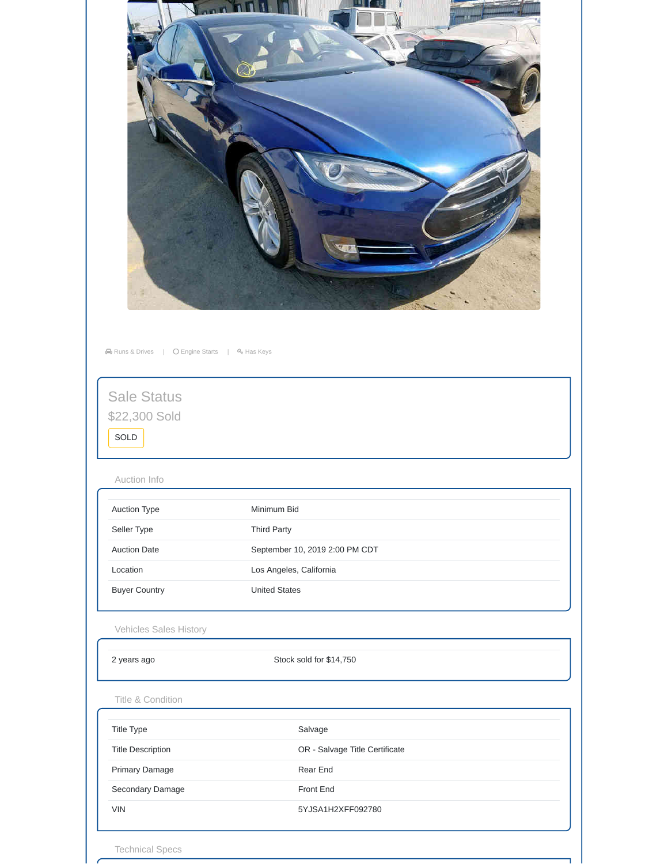| Runs & Drives   O Engine Starts   Q Has Keys         |                                |
|------------------------------------------------------|--------------------------------|
| Sale Status<br>\$22,300 Sold<br>SOLD<br>Auction Info |                                |
| Auction Type                                         | Minimum Bid                    |
| Seller Type                                          | <b>Third Party</b>             |
| <b>Auction Date</b>                                  | September 10, 2019 2:00 PM CDT |
| Location                                             | Los Angeles, California        |
| <b>Buyer Country</b>                                 | <b>United States</b>           |
| Vehicles Sales History                               |                                |
| 2 years ago                                          | Stock sold for \$14,750        |
| Title & Condition                                    |                                |
| Title Type                                           | Salvage                        |
| <b>Title Description</b>                             | OR - Salvage Title Certificate |
| Primary Damage                                       | Rear End                       |
| Secondary Damage                                     | Front End                      |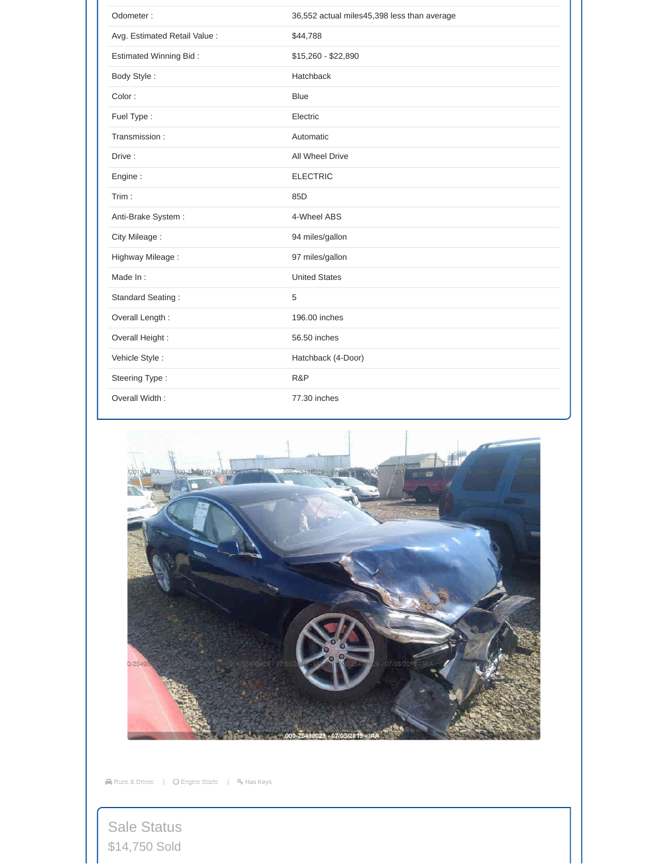| Odometer:                     | 36,552 actual miles45,398 less than average |
|-------------------------------|---------------------------------------------|
| Avg. Estimated Retail Value : | \$44,788                                    |
| Estimated Winning Bid:        | $$15,260 - $22,890$                         |
| Body Style:                   | Hatchback                                   |
| Color:                        | <b>Blue</b>                                 |
| Fuel Type:                    | Electric                                    |
| Transmission:                 | Automatic                                   |
| Drive:                        | All Wheel Drive                             |
| Engine:                       | <b>ELECTRIC</b>                             |
| Trim:                         | 85 <sub>D</sub>                             |
| Anti-Brake System:            | 4-Wheel ABS                                 |
| City Mileage:                 | 94 miles/gallon                             |
| Highway Mileage:              | 97 miles/gallon                             |
| Made In:                      | <b>United States</b>                        |
| Standard Seating:             | 5                                           |
| Overall Length:               | 196.00 inches                               |
| Overall Height:               | 56.50 inches                                |
| Vehicle Style:                | Hatchback (4-Door)                          |
| Steering Type:                | R&P                                         |
| Overall Width:                | 77.30 inches                                |



A Runs & Drives |  $\bigcirc$  Engine Starts |  $\bigcirc$  Has Keys

Sale Status \$14,750 Sold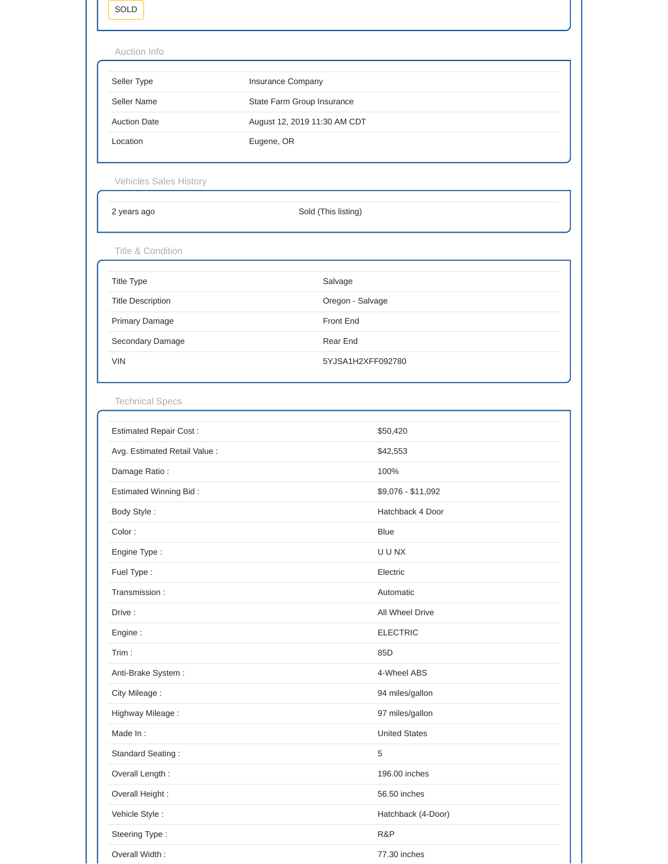SOLD

Auction Info

| Seller Type         | Insurance Company            |  |
|---------------------|------------------------------|--|
| Seller Name         | State Farm Group Insurance   |  |
| <b>Auction Date</b> | August 12, 2019 11:30 AM CDT |  |
| Location            | Eugene, OR                   |  |

Vehicles Sales History

2 years ago Sold (This listing)

Title & Condition

| Title Type               | Salvage           |
|--------------------------|-------------------|
| <b>Title Description</b> | Oregon - Salvage  |
| <b>Primary Damage</b>    | Front End         |
| Secondary Damage         | Rear End          |
| <b>VIN</b>               | 5YJSA1H2XFF092780 |

Technical Specs

| <b>Estimated Repair Cost:</b> | \$50,420             |
|-------------------------------|----------------------|
| Avg. Estimated Retail Value : | \$42,553             |
| Damage Ratio:                 | 100%                 |
| <b>Estimated Winning Bid:</b> | \$9,076 - \$11,092   |
| Body Style:                   | Hatchback 4 Door     |
| Color:                        | <b>Blue</b>          |
| Engine Type:                  | U U NX               |
| Fuel Type:                    | Electric             |
| Transmission:                 | Automatic            |
| Drive:                        | All Wheel Drive      |
| Engine:                       | <b>ELECTRIC</b>      |
| Trim:                         | 85 <sub>D</sub>      |
| Anti-Brake System:            | 4-Wheel ABS          |
| City Mileage:                 | 94 miles/gallon      |
| Highway Mileage:              | 97 miles/gallon      |
| Made In:                      | <b>United States</b> |
| Standard Seating:             | 5                    |
| Overall Length:               | 196.00 inches        |
| Overall Height:               | 56.50 inches         |
| Vehicle Style:                | Hatchback (4-Door)   |
| Steering Type:                | R&P                  |
| Overall Width:                | 77.30 inches         |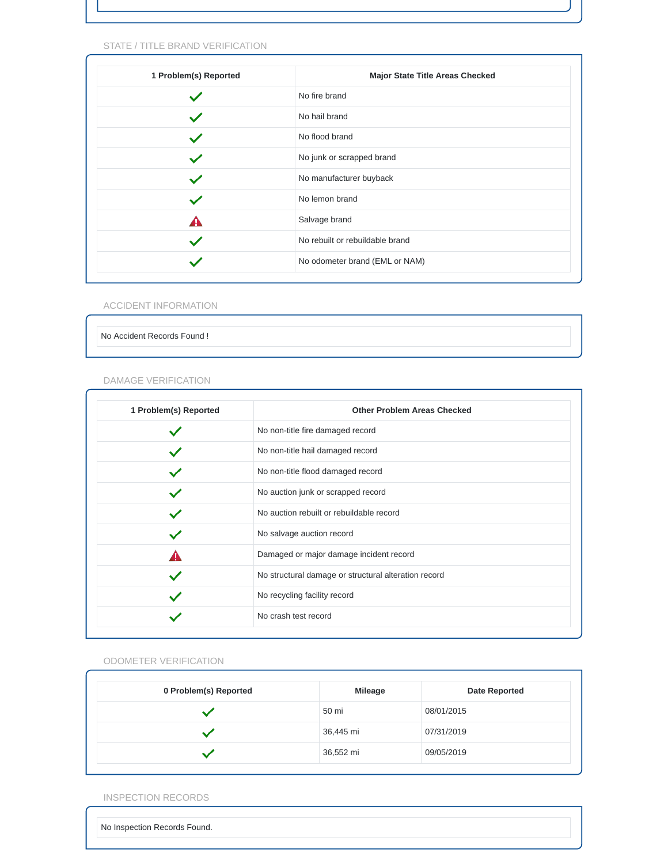### STATE / TITLE BRAND VERIFICATION

| 1 Problem(s) Reported | <b>Major State Title Areas Checked</b> |
|-----------------------|----------------------------------------|
|                       | No fire brand                          |
|                       | No hail brand                          |
|                       | No flood brand                         |
|                       | No junk or scrapped brand              |
|                       | No manufacturer buyback                |
|                       | No lemon brand                         |
|                       | Salvage brand                          |
|                       | No rebuilt or rebuildable brand        |
|                       | No odometer brand (EML or NAM)         |

ACCIDENT INFORMATION

No Accident Records Found !

#### DAMAGE VERIFICATION

| 1 Problem(s) Reported | <b>Other Problem Areas Checked</b>                   |  |
|-----------------------|------------------------------------------------------|--|
|                       | No non-title fire damaged record                     |  |
|                       | No non-title hail damaged record                     |  |
|                       | No non-title flood damaged record                    |  |
|                       | No auction junk or scrapped record                   |  |
|                       | No auction rebuilt or rebuildable record             |  |
|                       | No salvage auction record                            |  |
|                       | Damaged or major damage incident record              |  |
|                       | No structural damage or structural alteration record |  |
|                       | No recycling facility record                         |  |
|                       | No crash test record                                 |  |

# ODOMETER VERIFICATION

| 0 Problem(s) Reported | Mileage   | <b>Date Reported</b> |
|-----------------------|-----------|----------------------|
|                       | 50 mi     | 08/01/2015           |
|                       | 36,445 mi | 07/31/2019           |
|                       | 36,552 mi | 09/05/2019           |

INSPECTION RECORDS

No Inspection Records Found.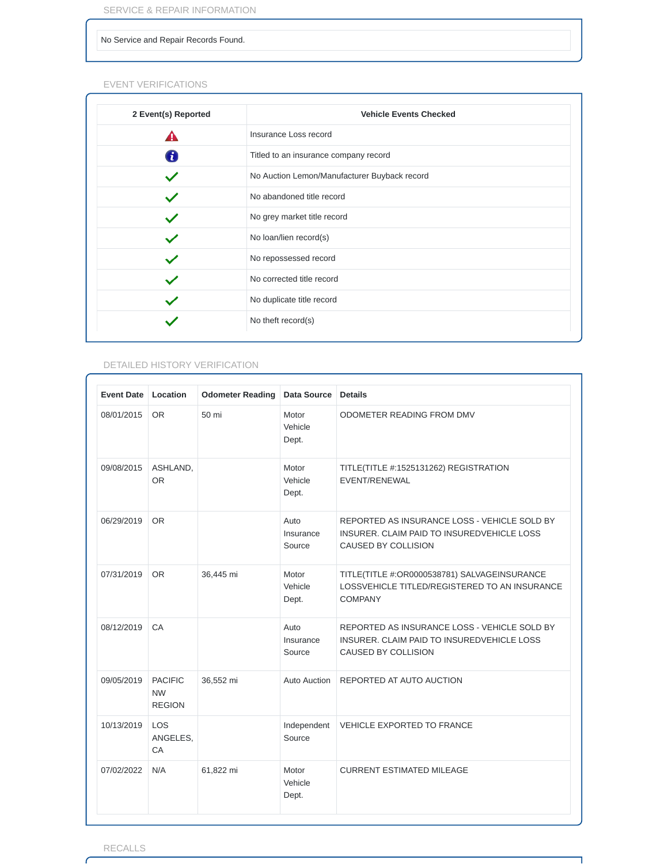SERVICE & REPAIR INFORMATION

### No Service and Repair Records Found.

## EVENT VERIFICATIONS

| 2 Event(s) Reported | <b>Vehicle Events Checked</b>                |  |
|---------------------|----------------------------------------------|--|
|                     | Insurance Loss record                        |  |
| đ                   | Titled to an insurance company record        |  |
|                     | No Auction Lemon/Manufacturer Buyback record |  |
|                     | No abandoned title record                    |  |
|                     | No grey market title record                  |  |
|                     | No loan/lien record(s)                       |  |
|                     | No repossessed record                        |  |
|                     | No corrected title record                    |  |
|                     | No duplicate title record                    |  |
|                     | No theft record(s)                           |  |

### DETAILED HISTORY VERIFICATION

| <b>Event Date</b> | Location                                     | <b>Odometer Reading</b> | Data Source                 | <b>Details</b>                                                                                                    |
|-------------------|----------------------------------------------|-------------------------|-----------------------------|-------------------------------------------------------------------------------------------------------------------|
| 08/01/2015        | <b>OR</b>                                    | 50 mi                   | Motor<br>Vehicle<br>Dept.   | ODOMETER READING FROM DMV                                                                                         |
| 09/08/2015        | ASHLAND,<br><b>OR</b>                        |                         | Motor<br>Vehicle<br>Dept.   | TITLE(TITLE #:1525131262) REGISTRATION<br><b>EVENT/RENEWAL</b>                                                    |
| 06/29/2019        | <b>OR</b>                                    |                         | Auto<br>Insurance<br>Source | REPORTED AS INSURANCE LOSS - VEHICLE SOLD BY<br>INSURER, CLAIM PAID TO INSUREDVEHICLE LOSS<br>CAUSED BY COLLISION |
| 07/31/2019        | <b>OR</b>                                    | 36,445 mi               | Motor<br>Vehicle<br>Dept.   | TITLE(TITLE #:OR0000538781) SALVAGEINSURANCE<br>LOSSVEHICLE TITLED/REGISTERED TO AN INSURANCE<br><b>COMPANY</b>   |
| 08/12/2019        | <b>CA</b>                                    |                         | Auto<br>Insurance<br>Source | REPORTED AS INSURANCE LOSS - VEHICLE SOLD BY<br>INSURER, CLAIM PAID TO INSUREDVEHICLE LOSS<br>CAUSED BY COLLISION |
| 09/05/2019        | <b>PACIFIC</b><br><b>NW</b><br><b>REGION</b> | 36,552 mi               | Auto Auction                | REPORTED AT AUTO AUCTION                                                                                          |
| 10/13/2019        | <b>LOS</b><br>ANGELES,<br>CA                 |                         | Independent<br>Source       | <b>VEHICLE EXPORTED TO FRANCE</b>                                                                                 |
| 07/02/2022        | N/A                                          | 61,822 mi               | Motor<br>Vehicle<br>Dept.   | <b>CURRENT ESTIMATED MILEAGE</b>                                                                                  |

C